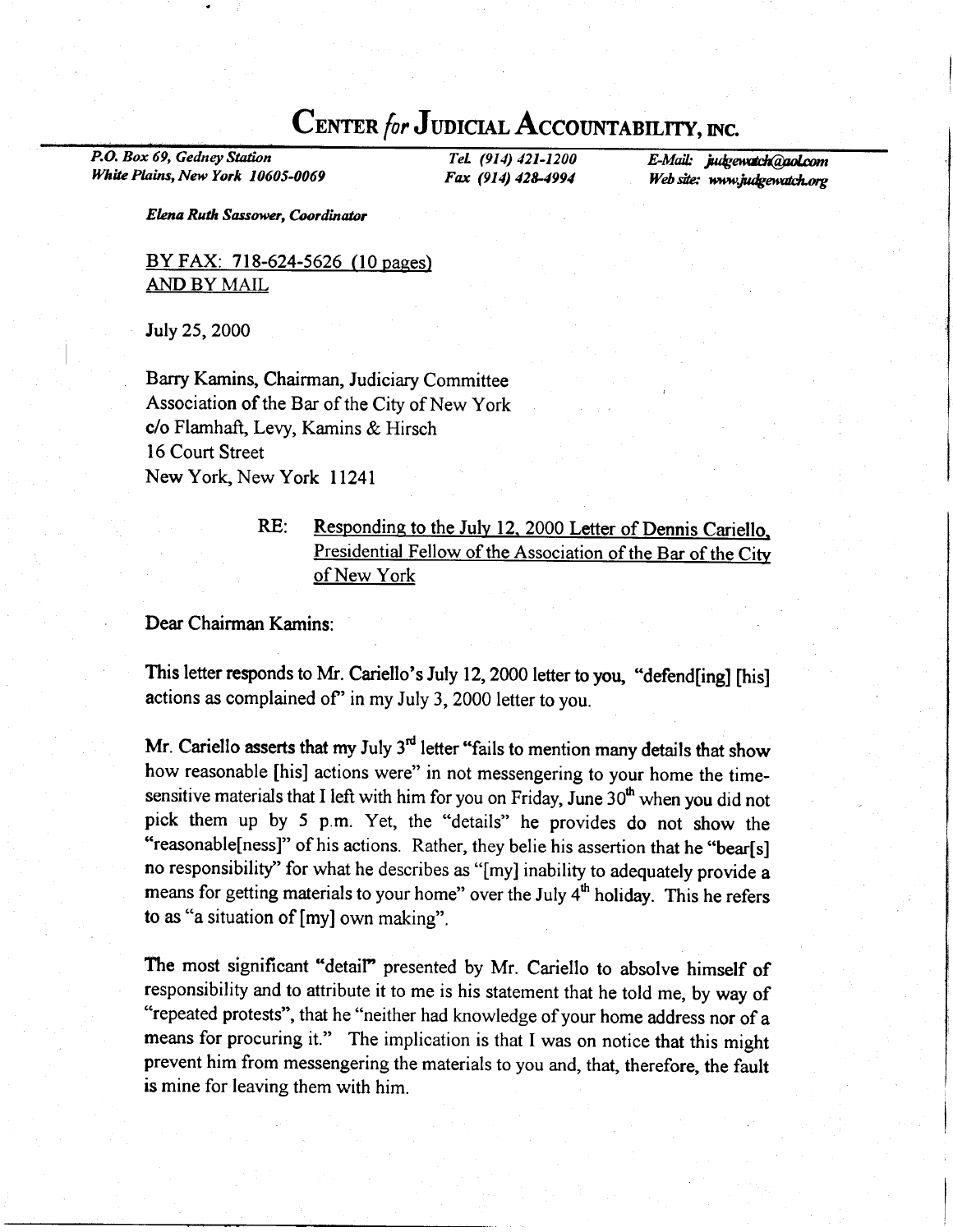# CENTER for JUDICIAL ACCOUNTABILITY, INC.

P.O. Box 69, Gedney Station White Plains, New York 10605-0069

TeL (914) 421-1200 Fax (914) 428-4994 E-Mail: judgewatch@aol.com Web site: www.judgewatch.org

Elena Ruth Sassower, Coordinotor

BY FAX: 718-624-5626 (10 pages) AND BY MAIL

July 25,2000

Barry Kamins, Chairman, Judiciary Committee Association of the Bar of the City of New York c/o Flamhaft, Levy, Kamins & Hirsch 16 Court Street New York, New York I l24l

# RE: Responding to the July 12, 2000 Letter of Dennis Cariello. Presidential Fellow of the Association of the Bar of the Citv of New York

#### Dear Chairman Kamins

This letter responds to Mr. Cariello's July 12, 2000 letter to you, "defend[ing] [his] actions as complained of" in my July 3, 2000 letter to you.

Mr. Cariello asserts that my July  $3<sup>rd</sup>$  letter "fails to mention many details that show how reasonable [his] actions were" in not messengering to your home the timesensitive materials that I left with him for you on Friday, June  $30<sup>th</sup>$  when you did not pick them up by 5 p.m. Yet, the "details" he provides do not show the "reasonable[ness]" of his actions. Rather, they belie his assertion that he "bear[s] no responsibility" for what he describes as "[my] inability to adequately provide a means for getting materials to your home" over the July  $4<sup>th</sup>$  holiday. This he refers to as "a situation of [my] own making".

The most significant "detail" presented by Mr. Cariello to absolve himself of responsibility and to attribute it to me is his statement that he told me, by way of "repeated protests", that he "neither had knowledge of your home address nor of a means for procuring it." The implication is that I was on notice that this might prevent him from messengering the materials to you and, that, therefore, the fault is mine for leaving them with him.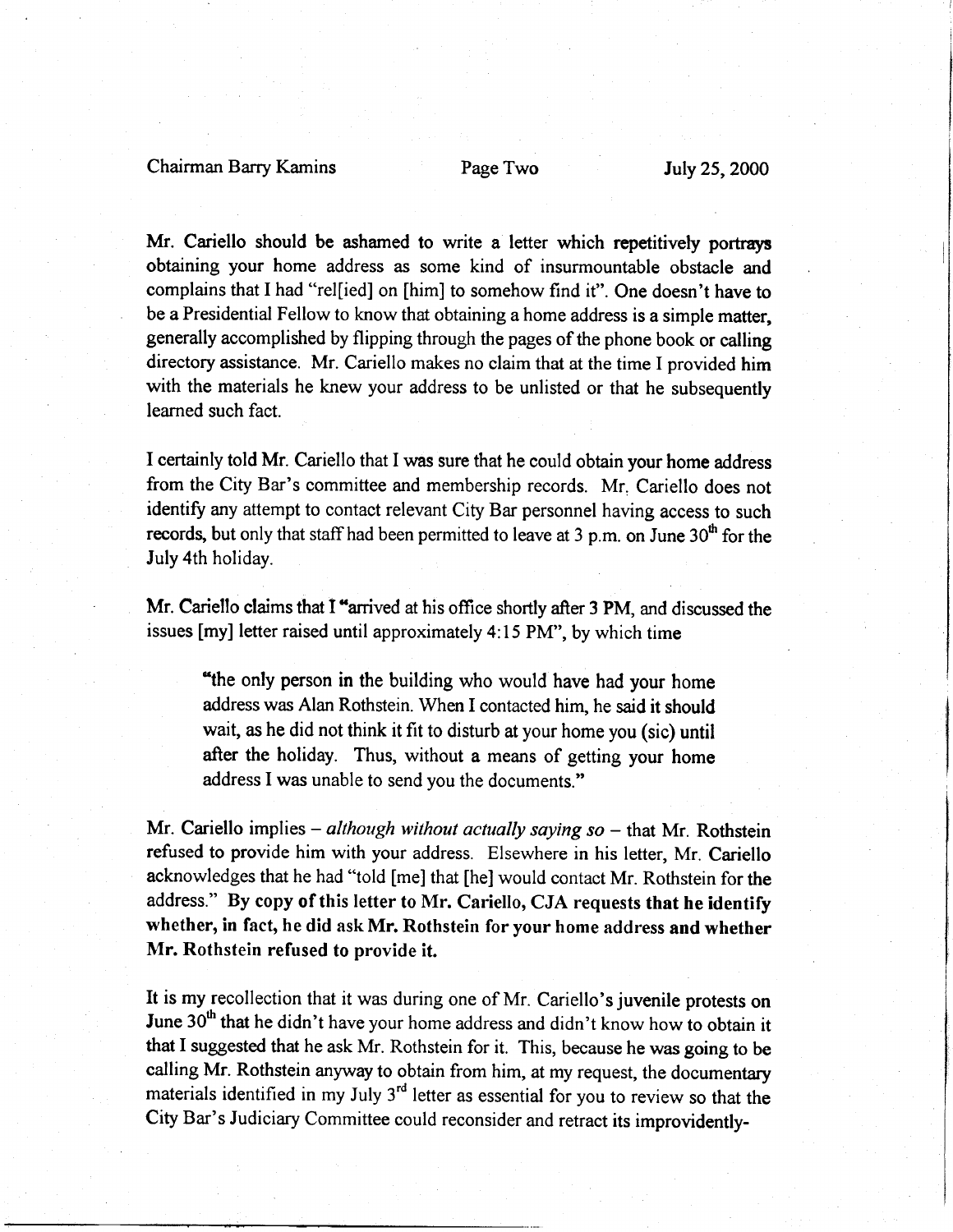## Chairman Barry Kamins Page Two July 25,2000

Mr. Cariello should be ashamed to write a letter which repetitively portrays obtaining your home address as some kind of insurmountable obstacle and complains that I had "rel[ied] on [him] to somehow find it". One doesn't have to be a Presidential Fellow to know that obtaining a home address is a simple matter, generally accomplished by flipping through the pages of the phone book or calling directory assistance. Mr. Cariello makes no claim that at the time I provided him with the materials he knew your address to be unlisted or that he subsequently leamed such fact.

I certainly told Mr. Cariello that I was sure that he could obtain your home address from the City Bar's committee and membership records. Mr. Cariello does not identify any attempt to contact relevant City Bar personnel having access to such records, but only that staff had been permitted to leave at 3 p.m. on June  $30<sup>th</sup>$  for the July 4th holiday.

Mr. Cariello claims that I "arrived at his office shortly after 3 PM, and discussed the issues [my] letter raised until approximately 4:15 PM", by which time

"the only person in the building who would have had your home address was Alan Rothstein. When I contacted him, he said it should wait, as he did not think it fit to disturb at your home you (sic) until after the holiday. Thus, without a means of getting your home address I was unable to send you the documents."

Mr. Cariello implies  $-$  although without actually saying so  $-$  that Mr. Rothstein refused to provide him with your address. Elsewhere in his letter, Mr. Cariello acknowledges that he had "told [me] that [he] would contact Mr. Rothstein for the address." By copy of this letter to Mr. Cariello, CJA requests that he identify whether, in fact, he did ask Mr. Rothstein for your home address and whether Mr. Rothstein refused to provide it.

It is my recollection that it was during one of Mr. Cariello's juvenile protests on June 30<sup>th</sup> that he didn't have your home address and didn't know how to obtain it that I suggested that he ask Mr. Rothstein for it. This, because he was going to be calling Mr. Rothstein anyway to obtain from him, at my request, the documentary materials identified in my July  $3<sup>rd</sup>$  letter as essential for you to review so that the City Bar's Judiciary Committee could reconsider and retract its improvidently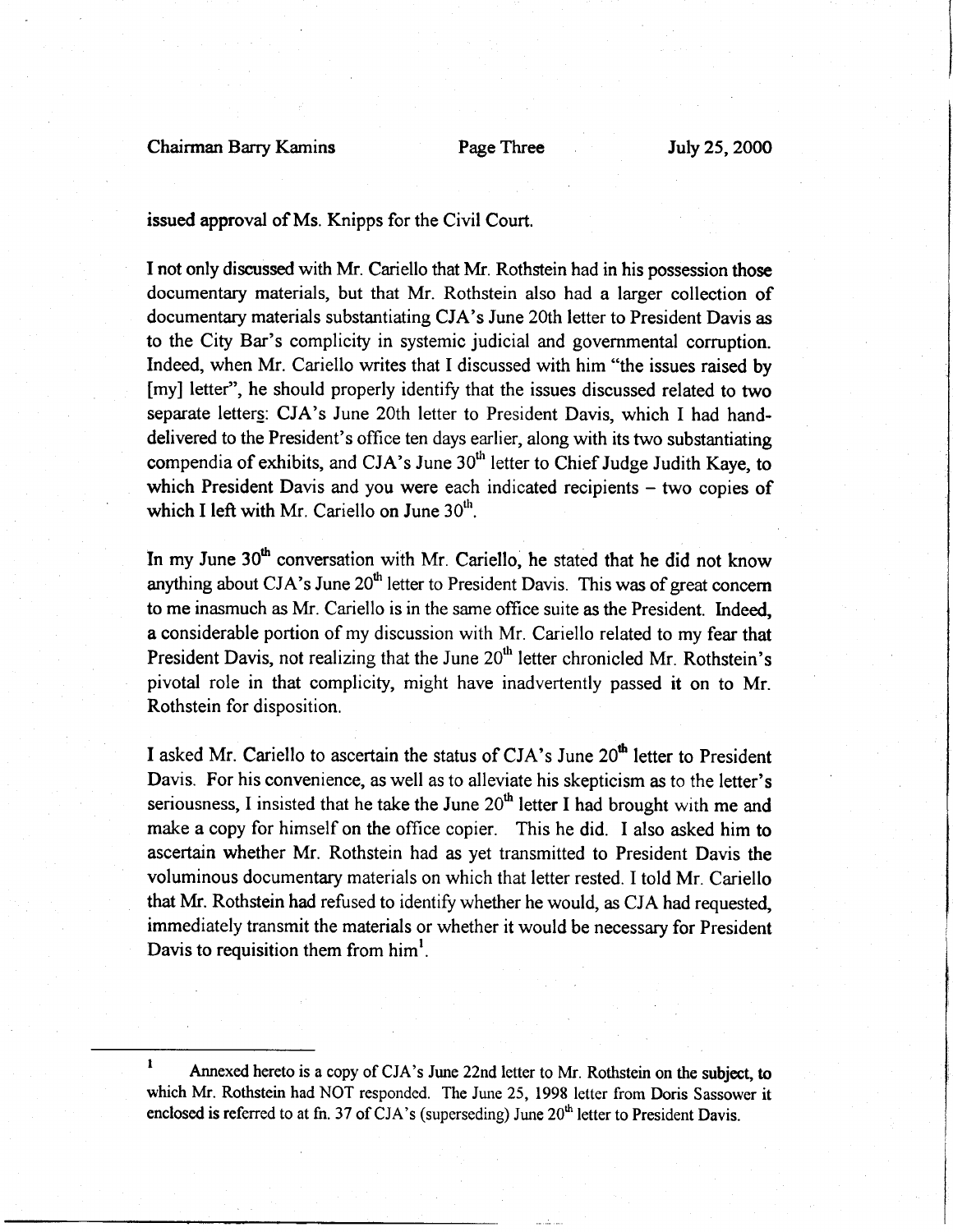Chairman Barry Kamins Page Three July 25, 2000

issued approval of Ms. Knipps for the Civil Court.

I not only discussed with Mr. Cariello that Mr. Rothstein had in his possession those documentary materials, but that Mr. Rothstein also had a larger collection of documentary materials substantiating CJA's June 20th letter to President Davis as to the City Bar's complicity in systemic judicial and governmental corruption. Indeed, when Mr. Cariello writes that I discussed with him "the issues raised by [my] letter", he should properly identify that the issues discussed related to two separate letterg: CJA's June 20th letter to President Davis, which I had handdelivered to the President's office ten days earlier, along with its two substantiating compendia of exhibits, and CJA's June 30<sup>th</sup> letter to Chief Judge Judith Kaye, to which President Davis and you were each indicated recipients - two copies of which I left with Mr. Cariello on June  $30<sup>th</sup>$ .

In my June 30<sup>th</sup> conversation with Mr. Cariello, he stated that he did not know anything about CJA's June  $20<sup>th</sup>$  letter to President Davis. This was of great concern to me inasmuch as Mr. Cariello is in the sarne office suite as the President. Indeed, a considerable portion of my discussion with Mr. Cariello related to my fear that President Davis, not realizing that the June  $20<sup>th</sup>$  letter chronicled Mr. Rothstein's pivotal role in that complicity, might have inadvertently passed it on to Mr. Rothstein for disposition.

I asked Mr. Cariello to ascertain the status of CJA's June  $20<sup>th</sup>$  letter to President Davis. For his convenience, as well as to alleviate his skepticism as to the letter's seriousness, I insisted that he take the June  $20<sup>th</sup>$  letter I had brought with me and make a copy for himself on the office copier. This he did. I also asked him to ascertain whether Mr. Rothstein had as yet transmitted to President Davis the voluminous documentary materials on which that letter rested. I told Mr. Cariello that Mr. Rothstein had refused to identify whether he would, as CJA had requested immediately transmit the materials or whether it would be necessary for President Davis to requisition them from  $\text{him}^1$ .

<sup>&</sup>lt;sup>1</sup> Annexed hereto is a copy of CJA's June 22nd letter to Mr. Rothstein on the subject, to which Mr. Rothstein had NOT responded. The June 25, 1998 letter from Doris Sassower it enclosed is referred to at fn. 37 of CJA's (superseding) June  $20<sup>th</sup>$  letter to President Davis.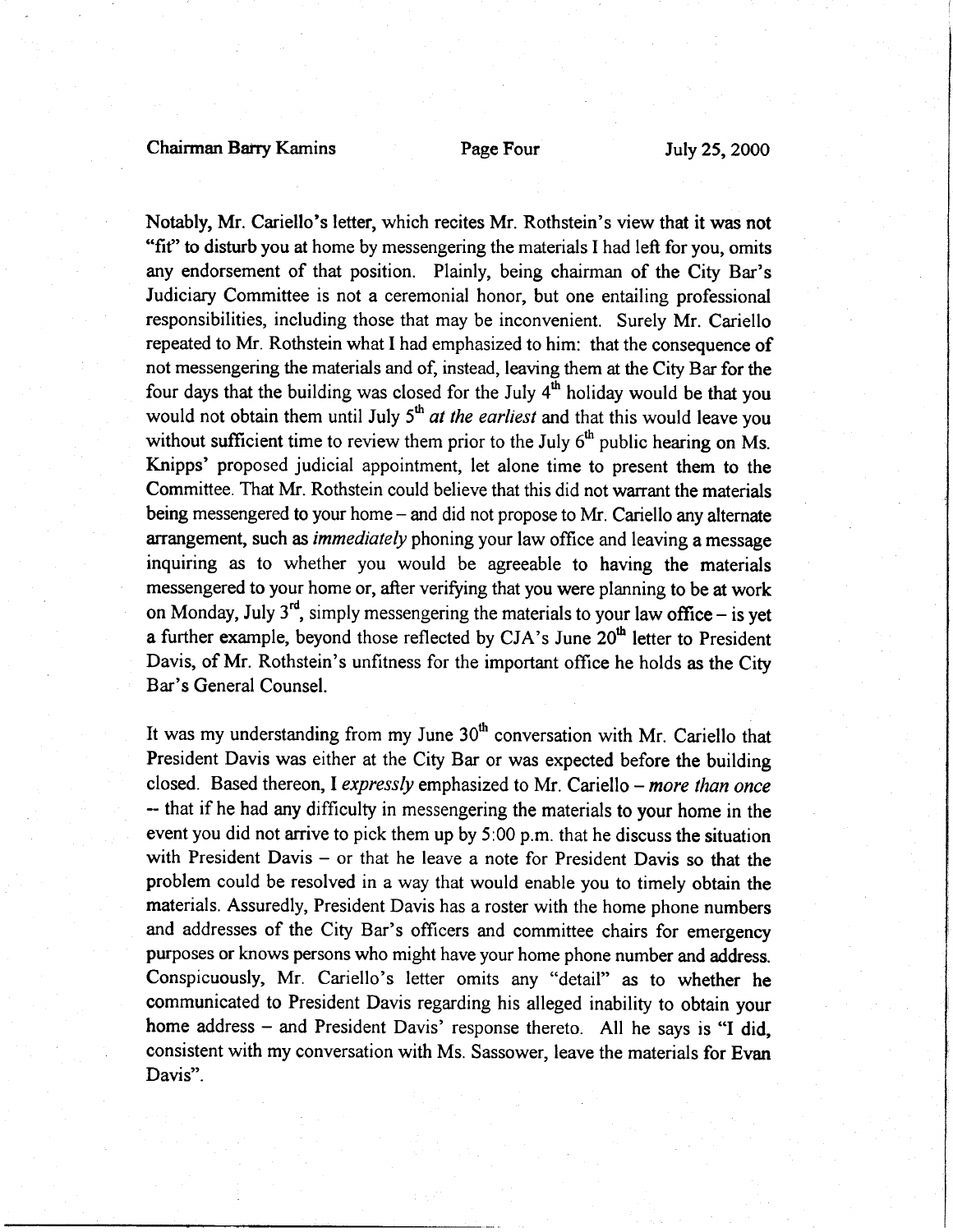Notably, Mr. Cariello's letter, which recites Mr. Rothstein's view that it was not "fit" to disturb you at home by messengering the materials I had left for you, omits any endorsement of that position. Plainly, being chairman of the City Bar's Judiciary Committee is not a ceremonial honor, but one entailing professional responsibilities, including those that may be inconvenient. Surely Mr. Cariello repeated to Mr. Rothstein what I had emphasized to him: that the consequence of not messengering the materials and of, instead, leaving them at the City Bar for the four days that the building was closed for the July  $4<sup>th</sup>$  holiday would be that you would not obtain them until July  $5<sup>th</sup>$  at the earliest and that this would leave you without sufficient time to review them prior to the July  $6<sup>th</sup>$  public hearing on Ms. Knipps' proposed judicial appointment, let alone time to present them to the Committee. That Mr. Rothstein could believe that this did not warrant the materials being messengered to your home – and did not propose to Mr. Cariello any alternate arrangement, such as immediately phoning your law office and leaving a message inquiring as to whether you would be agreeable to having the materials messengered to your home or, after verifying that you were planning to be at work on Monday, July  $3<sup>rd</sup>$ , simply messengering the materials to your law office – is yet a further example, beyond those reflected by CJA's June  $20<sup>th</sup>$  letter to President Davis, of Mr. Rothstein's unfitness for the important offrce he holds as the City Bar's General Counsel.

It was my understanding from my June 30<sup>th</sup> conversation with Mr. Cariello that President Davis was either at the City Bar or was expected before the building closed. Based thereon, I expressly emphasized to Mr. Cariello - more than once - that if he had any difficulty in messengering the materials to your home in the event you did not arrive to pick them up by 5:00 p.m. that he discuss the situation with President Davis – or that he leave a note for President Davis so that the problem could be resolved in a way that would enable you to timely obtain the materials. Assuredly, President Davis has a roster with the home phone numbers and addresses of the City Bar's officers and committee chairs for emergency purposes or knows persons who might have your home phone number and address. Conspicuously, Mr. Cariello's letter omits any "detail" as to whether he communicated to President Davis regarding his alleged inability to obtain your home address – and President Davis' response thereto. All he says is "I did, consistent with my conversation with Ms. Sassower, leave the materials for Evan Davis".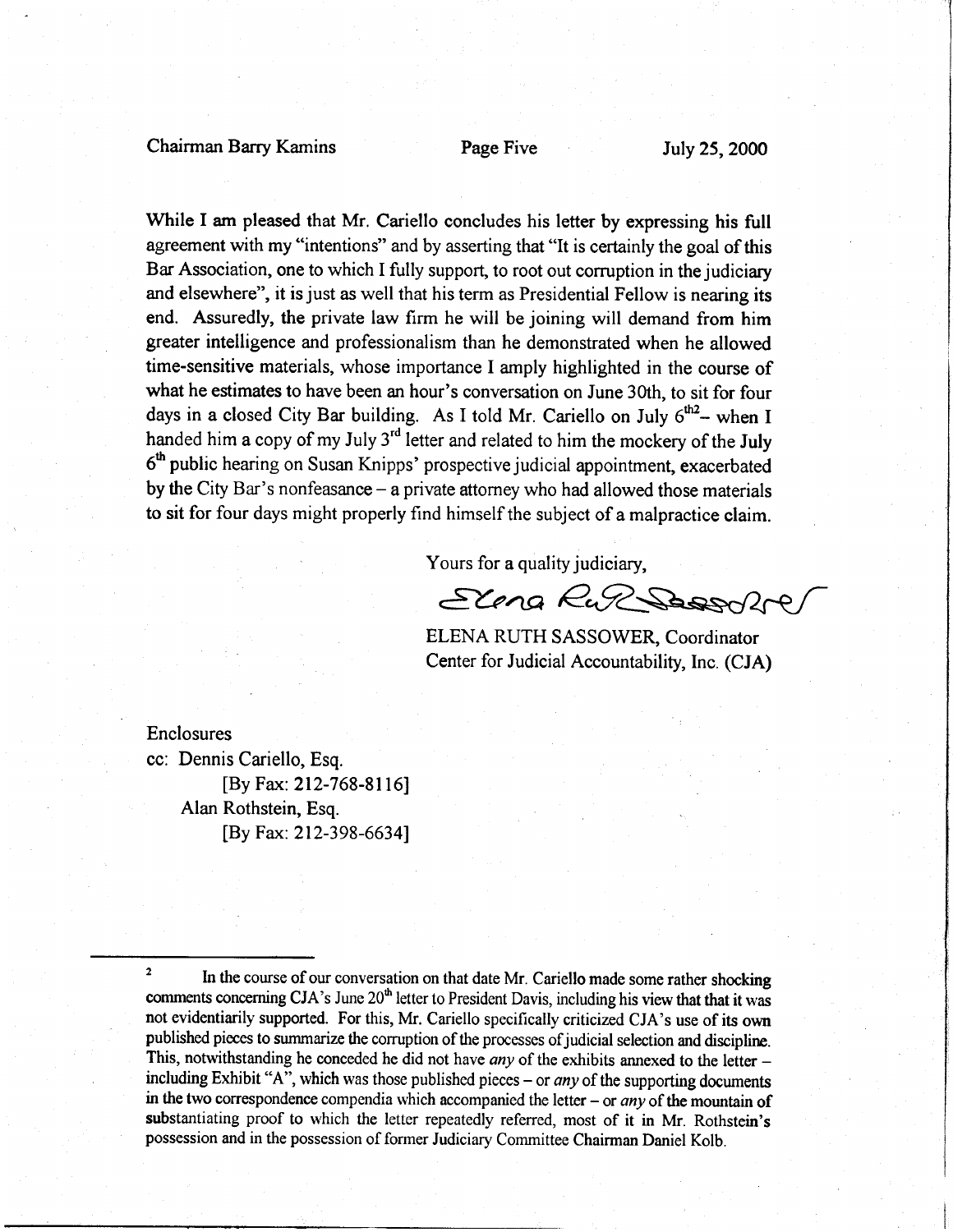### Chairman Barry Kamins Page Five July 25, 2000

While I am pleased that Mr. Cariello concludes his letter by expressing his full agreement with my "intentions" and by asserting that "It is certainly the goal of this Bar Association, one to which I fully support, to root out corruption in the judiciary and elsewhere", it is just as well that his term as Presidential Fellow is nearing its end. Assuredly, the private law firm he will be joining will demand from him greater intelligence and professionalism than he demonstrated when he allowed time-sensitive materials, whose importance I amply highlighted in the course of what he estimates to have been an hour's conversation on June 30th, to sit for four days in a closed City Bar building. As I told Mr. Cariello on July  $6^{th2}$ - when I handed him a copy of my July 3<sup>rd</sup> letter and related to him the mockery of the July 6<sup>th</sup> public hearing on Susan Knipps' prospective judicial appointment, exacerbated by the City Bar's nonfeasance  $-$  a private attorney who had allowed those materials to sit for four days might properly find himself the subject of a malpractice claim.

Yours for a quality judiciary,

Elena RuP Sassofte,

ELENA RUTH SASSOWER, Coordinator Center for Judicial Accountability, Inc. (CJA)

Enclosures cc: Dennis Cariello, Esq.

> [By Fax: 212-768-8116l Alan Rothstein, Esq. [By Fax: 212-398-66341

 $\frac{1}{2}$  In the course of our conversation on that date Mr. Cariello made some rather shocking comments concerning CJA's June 20<sup>th</sup> letter to President Davis, including his view that that it was not evidentiarily supported. For this, Mr. Cariello specifically criticized CJA's use of its own published pieces to summarize the corruption of the processes of judicial selection and discipline. This, notwithstanding he conceded he did not have *any* of the exhibits annexed to the letter  $$ including Exhibit "A", which was those published pieces – or *any* of the supporting documents in the two correspondence compendia which accompanied the letter – or any of the mountain of substantiating proof to which the letter repeatedly referred, most of it in Mr. Rothstein's possession and in the possession of former Judiciary Committee Chairman Daniel Kolb.